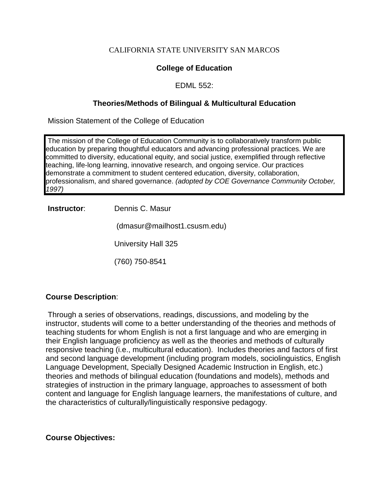#### CALIFORNIA STATE UNIVERSITY SAN MARCOS

## **College of Education**

#### EDML 552:

### **Theories/Methods of Bilingual & Multicultural Education**

Mission Statement of the College of Education

The mission of the College of Education Community is to collaboratively transform public education by preparing thoughtful educators and advancing professional practices. We are committed to diversity, educational equity, and social justice, exemplified through reflective teaching, life-long learning, innovative research, and ongoing service. Our practices demonstrate a commitment to student centered education, diversity, collaboration, professionalism, and shared governance. *(adopted by COE Governance Community October, 1997)*

**Instructor**: Dennis C. Masur

(dmasur@mailhost1.csusm.edu)

University Hall 325

(760) 750-8541

#### **Course Description**:

Through a series of observations, readings, discussions, and modeling by the instructor, students will come to a better understanding of the theories and methods of teaching students for whom English is not a first language and who are emerging in their English language proficiency as well as the theories and methods of culturally responsive teaching (i.e., multicultural education). Includes theories and factors of first and second language development (including program models, sociolinguistics, English Language Development, Specially Designed Academic Instruction in English, etc.) theories and methods of bilingual education (foundations and models), methods and strategies of instruction in the primary language, approaches to assessment of both content and language for English language learners, the manifestations of culture, and the characteristics of culturally/linguistically responsive pedagogy.

#### **Course Objectives:**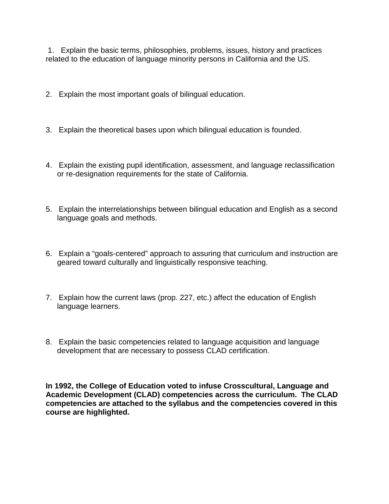1. Explain the basic terms, philosophies, problems, issues, history and practices related to the education of language minority persons in California and the US.

- 2. Explain the most important goals of bilingual education.
- 3. Explain the theoretical bases upon which bilingual education is founded.
- 4. Explain the existing pupil identification, assessment, and language reclassification or re-designation requirements for the state of California.
- 5. Explain the interrelationships between bilingual education and English as a second language goals and methods.
- 6. Explain a "goals-centered" approach to assuring that curriculum and instruction are geared toward culturally and linguistically responsive teaching.
- 7. Explain how the current laws (prop. 227, etc.) affect the education of English language learners.
- 8. Explain the basic competencies related to language acquisition and language development that are necessary to possess CLAD certification.

**In 1992, the College of Education voted to infuse Crosscultural, Language and Academic Development (CLAD) competencies across the curriculum. The CLAD competencies are attached to the syllabus and the competencies covered in this course are highlighted.**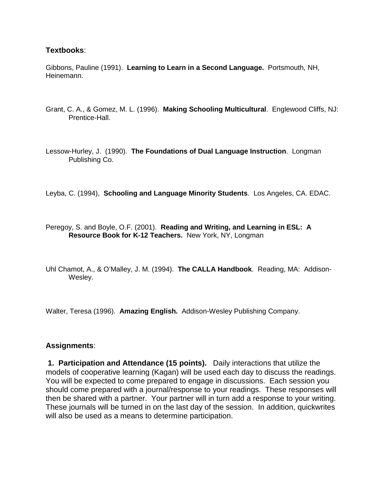#### **Textbooks**:

Gibbons, Pauline (1991). **Learning to Learn in a Second Language.** Portsmouth, NH, Heinemann.

Grant, C. A., & Gomez, M. L. (1996). **Making Schooling Multicultural**. Englewood Cliffs, NJ: Prentice-Hall.

Lessow-Hurley, J. (1990). **The Foundations of Dual Language Instruction**. Longman Publishing Co.

Leyba, C. (1994), **Schooling and Language Minority Students**. Los Angeles, CA. EDAC.

Peregoy, S. and Boyle, O.F. (2001). **Reading and Writing, and Learning in ESL: A Resource Book for K-12 Teachers.** New York, NY, Longman

Uhl Chamot, A., & O'Malley, J. M. (1994). **The CALLA Handbook**. Reading, MA: Addison-Wesley.

Walter, Teresa (1996). **Amazing English.** Addison-Wesley Publishing Company.

#### **Assignments**:

**1. Participation and Attendance (15 points).** Daily interactions that utilize the models of cooperative learning (Kagan) will be used each day to discuss the readings. You will be expected to come prepared to engage in discussions. Each session you should come prepared with a journal/response to your readings. These responses will then be shared with a partner. Your partner will in turn add a response to your writing. These journals will be turned in on the last day of the session. In addition, quickwrites will also be used as a means to determine participation.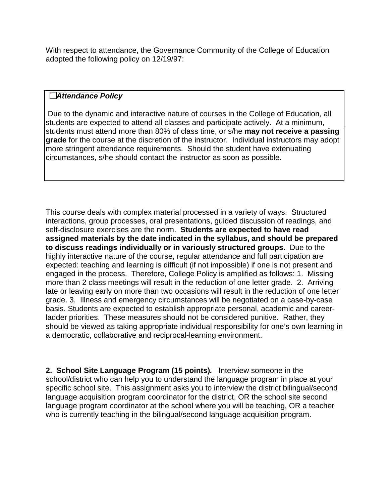With respect to attendance, the Governance Community of the College of Education adopted the following policy on 12/19/97:

## **The linkel include Section**

Due to the dynamic and interactive nature of courses in the College of Education, all students are expected to attend all classes and participate actively. At a minimum, students must attend more than 80% of class time, or s/he **may not receive a passing grade** for the course at the discretion of the instructor. Individual instructors may adopt more stringent attendance requirements. Should the student have extenuating circumstances, s/he should contact the instructor as soon as possible.

This course deals with complex material processed in a variety of ways. Structured interactions, group processes, oral presentations, guided discussion of readings, and self-disclosure exercises are the norm. **Students are expected to have read assigned materials by the date indicated in the syllabus, and should be prepared to discuss readings individually or in variously structured groups.** Due to the highly interactive nature of the course, regular attendance and full participation are expected: teaching and learning is difficult (if not impossible) if one is not present and engaged in the process. Therefore, College Policy is amplified as follows: 1. Missing more than 2 class meetings will result in the reduction of one letter grade. 2. Arriving late or leaving early on more than two occasions will result in the reduction of one letter grade. 3. Illness and emergency circumstances will be negotiated on a case-by-case basis. Students are expected to establish appropriate personal, academic and careerladder priorities. These measures should not be considered punitive. Rather, they should be viewed as taking appropriate individual responsibility for one's own learning in a democratic, collaborative and reciprocal-learning environment.

**2. School Site Language Program (15 points)***.* Interview someone in the school/district who can help you to understand the language program in place at your specific school site. This assignment asks you to interview the district bilingual/second language acquisition program coordinator for the district, OR the school site second language program coordinator at the school where you will be teaching, OR a teacher who is currently teaching in the bilingual/second language acquisition program.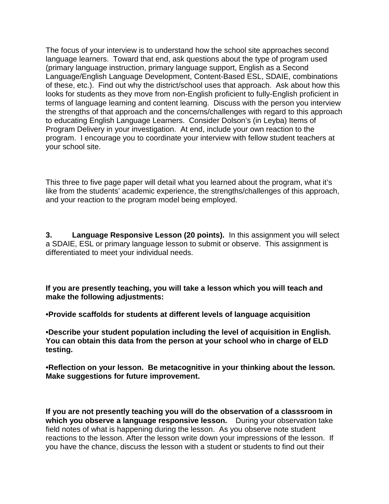The focus of your interview is to understand how the school site approaches second language learners. Toward that end, ask questions about the type of program used (primary language instruction, primary language support, English as a Second Language/English Language Development, Content-Based ESL, SDAIE, combinations of these, etc.). Find out why the district/school uses that approach. Ask about how this looks for students as they move from non-English proficient to fully-English proficient in terms of language learning and content learning. Discuss with the person you interview the strengths of that approach and the concerns/challenges with regard to this approach to educating English Language Learners. Consider Dolson's (in Leyba) Items of Program Delivery in your investigation. At end, include your own reaction to the program. I encourage you to coordinate your interview with fellow student teachers at your school site.

This three to five page paper will detail what you learned about the program, what it's like from the students' academic experience, the strengths/challenges of this approach, and your reaction to the program model being employed.

**3. Language Responsive Lesson (20 points).** In this assignment you will select a SDAIE, ESL or primary language lesson to submit or observe. This assignment is differentiated to meet your individual needs.

**If you are presently teaching, you will take a lesson which you will teach and make the following adjustments:**

**•Provide scaffolds for students at different levels of language acquisition**

**•Describe your student population including the level of acquisition in English. You can obtain this data from the person at your school who in charge of ELD testing.**

**•Reflection on your lesson. Be metacognitive in your thinking about the lesson. Make suggestions for future improvement.**

**If you are not presently teaching you will do the observation of a classsroom in which you observe a language responsive lesson.** During your observation take field notes of what is happening during the lesson. As you observe note student reactions to the lesson. After the lesson write down your impressions of the lesson. If you have the chance, discuss the lesson with a student or students to find out their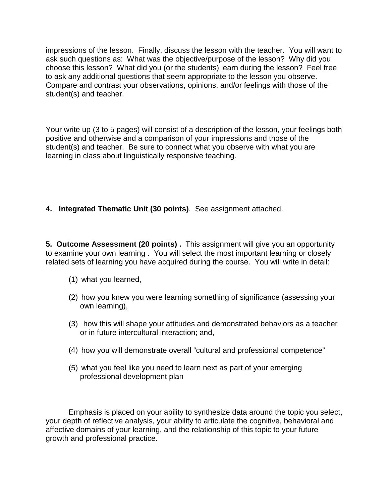impressions of the lesson. Finally, discuss the lesson with the teacher. You will want to ask such questions as: What was the objective/purpose of the lesson? Why did you choose this lesson? What did you (or the students) learn during the lesson? Feel free to ask any additional questions that seem appropriate to the lesson you observe. Compare and contrast your observations, opinions, and/or feelings with those of the student(s) and teacher.

Your write up (3 to 5 pages) will consist of a description of the lesson, your feelings both positive and otherwise and a comparison of your impressions and those of the student(s) and teacher. Be sure to connect what you observe with what you are learning in class about linguistically responsive teaching.

# **4. Integrated Thematic Unit (30 points)**. See assignment attached.

**5. Outcome Assessment (20 points) .** This assignment will give you an opportunity to examine your own learning . You will select the most important learning or closely related sets of learning you have acquired during the course. You will write in detail:

- (1) what you learned,
- (2) how you knew you were learning something of significance (assessing your own learning),
- (3) how this will shape your attitudes and demonstrated behaviors as a teacher or in future intercultural interaction; and,
- (4) how you will demonstrate overall "cultural and professional competence"
- (5) what you feel like you need to learn next as part of your emerging professional development plan

Emphasis is placed on your ability to synthesize data around the topic you select, your depth of reflective analysis, your ability to articulate the cognitive, behavioral and affective domains of your learning, and the relationship of this topic to your future growth and professional practice.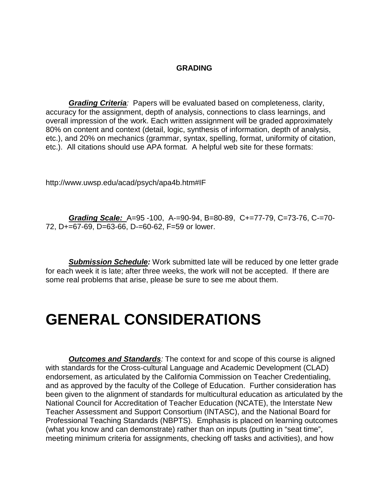#### **GRADING**

*Grading Criteria:* Papers will be evaluated based on completeness, clarity, accuracy for the assignment, depth of analysis, connections to class learnings, and overall impression of the work. Each written assignment will be graded approximately 80% on content and context (detail, logic, synthesis of information, depth of analysis, etc.), and 20% on mechanics (grammar, syntax, spelling, format, uniformity of citation, etc.). All citations should use APA format. A helpful web site for these formats:

http://www.uwsp.edu/acad/psych/apa4b.htm#IF

*Grading Scale:* A=95 -100, A-=90-94, B=80-89, C+=77-79, C=73-76, C-=70- 72, D+=67-69, D=63-66, D-=60-62, F=59 or lower.

*Submission Schedule:* Work submitted late will be reduced by one letter grade for each week it is late; after three weeks, the work will not be accepted. If there are some real problems that arise, please be sure to see me about them.

# **GENERAL CONSIDERATIONS**

*Outcomes and Standards:* The context for and scope of this course is aligned with standards for the Cross-cultural Language and Academic Development (CLAD) endorsement, as articulated by the California Commission on Teacher Credentialing, and as approved by the faculty of the College of Education. Further consideration has been given to the alignment of standards for multicultural education as articulated by the National Council for Accreditation of Teacher Education (NCATE), the Interstate New Teacher Assessment and Support Consortium (INTASC), and the National Board for Professional Teaching Standards (NBPTS). Emphasis is placed on learning outcomes (what you know and can demonstrate) rather than on inputs (putting in "seat time", meeting minimum criteria for assignments, checking off tasks and activities), and how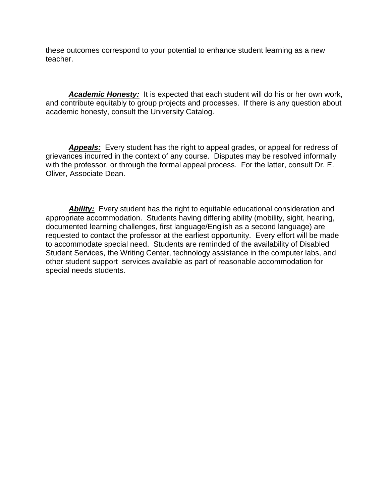these outcomes correspond to your potential to enhance student learning as a new teacher.

*Academic Honesty:* It is expected that each student will do his or her own work, and contribute equitably to group projects and processes. If there is any question about academic honesty, consult the University Catalog.

*Appeals:* Every student has the right to appeal grades, or appeal for redress of grievances incurred in the context of any course. Disputes may be resolved informally with the professor, or through the formal appeal process. For the latter, consult Dr. E. Oliver, Associate Dean.

*Ability:* Every student has the right to equitable educational consideration and appropriate accommodation. Students having differing ability (mobility, sight, hearing, documented learning challenges, first language/English as a second language) are requested to contact the professor at the earliest opportunity. Every effort will be made to accommodate special need. Students are reminded of the availability of Disabled Student Services, the Writing Center, technology assistance in the computer labs, and other student support services available as part of reasonable accommodation for special needs students.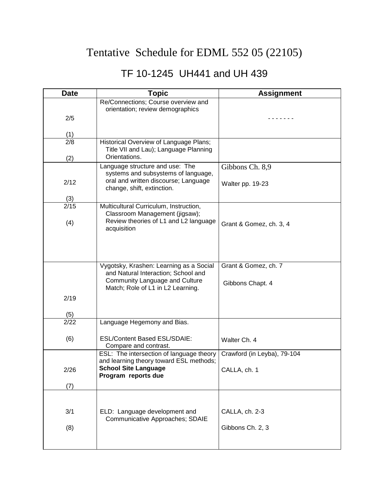# Tentative Schedule for EDML 552 05 (22105)

# TF 10-1245 UH441 and UH 439

| <b>Date</b> | <b>Topic</b>                                                          | <b>Assignment</b>           |
|-------------|-----------------------------------------------------------------------|-----------------------------|
|             | Re/Connections; Course overview and                                   |                             |
| 2/5         | orientation; review demographics                                      |                             |
|             |                                                                       |                             |
| (1)         |                                                                       |                             |
| 2/8         | Historical Overview of Language Plans;                                |                             |
| (2)         | Title VII and Lau); Language Planning<br>Orientations.                |                             |
|             | Language structure and use: The                                       | Gibbons Ch. 8,9             |
|             | systems and subsystems of language,                                   |                             |
| 2/12        | oral and written discourse; Language<br>change, shift, extinction.    | Walter pp. 19-23            |
| (3)         |                                                                       |                             |
| 2/15        | Multicultural Curriculum, Instruction,                                |                             |
|             | Classroom Management (jigsaw);                                        |                             |
| (4)         | Review theories of L1 and L2 language<br>acquisition                  | Grant & Gomez, ch. 3, 4     |
|             |                                                                       |                             |
|             |                                                                       |                             |
|             |                                                                       |                             |
|             | Vygotsky, Krashen: Learning as a Social                               | Grant & Gomez, ch. 7        |
|             | and Natural Interaction; School and<br>Community Language and Culture |                             |
|             | Match; Role of L1 in L2 Learning.                                     | Gibbons Chapt. 4            |
| 2/19        |                                                                       |                             |
|             |                                                                       |                             |
| (5)<br>2/22 | Language Hegemony and Bias.                                           |                             |
|             |                                                                       |                             |
| (6)         | <b>ESL/Content Based ESL/SDAIE:</b>                                   | Walter Ch. 4                |
|             | Compare and contrast.<br>ESL: The intersection of language theory     | Crawford (in Leyba), 79-104 |
|             | and learning theory toward ESL methods;                               |                             |
| 2/26        | <b>School Site Language</b>                                           | CALLA, ch. 1                |
|             | Program reports due                                                   |                             |
| (7)         |                                                                       |                             |
|             |                                                                       |                             |
| 3/1         | ELD: Language development and                                         | CALLA, ch. 2-3              |
|             | Communicative Approaches; SDAIE                                       |                             |
| (8)         |                                                                       | Gibbons Ch. 2, 3            |
|             |                                                                       |                             |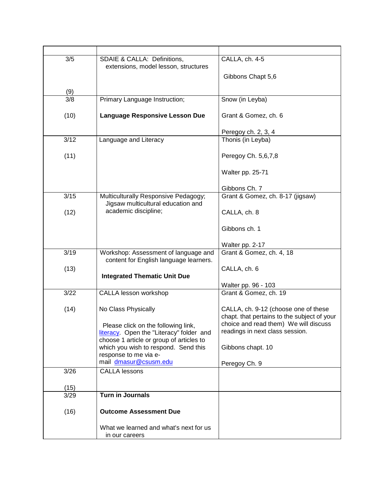| 3/5  | SDAIE & CALLA: Definitions,                                                          | CALLA, ch. 4-5                                                           |
|------|--------------------------------------------------------------------------------------|--------------------------------------------------------------------------|
|      | extensions, model lesson, structures                                                 |                                                                          |
|      |                                                                                      | Gibbons Chapt 5,6                                                        |
| (9)  |                                                                                      |                                                                          |
| 3/8  | Primary Language Instruction;                                                        | Snow (in Leyba)                                                          |
|      |                                                                                      |                                                                          |
| (10) | <b>Language Responsive Lesson Due</b>                                                | Grant & Gomez, ch. 6                                                     |
|      |                                                                                      | Peregoy ch. 2, 3, 4                                                      |
| 3/12 | Language and Literacy                                                                | Thonis (in Leyba)                                                        |
|      |                                                                                      |                                                                          |
| (11) |                                                                                      | Peregoy Ch. 5,6,7,8                                                      |
|      |                                                                                      | Walter pp. 25-71                                                         |
|      |                                                                                      |                                                                          |
|      |                                                                                      | Gibbons Ch. 7                                                            |
| 3/15 | Multiculturally Responsive Pedagogy;                                                 | Grant & Gomez, ch. 8-17 (jigsaw)                                         |
| (12) | Jigsaw multicultural education and<br>academic discipline;                           | CALLA, ch. 8                                                             |
|      |                                                                                      |                                                                          |
|      |                                                                                      | Gibbons ch. 1                                                            |
|      |                                                                                      |                                                                          |
| 3/19 |                                                                                      | Walter pp. 2-17                                                          |
|      | Workshop: Assessment of language and<br>content for English language learners.       | Grant & Gomez, ch. 4, 18                                                 |
| (13) |                                                                                      | CALLA, ch. 6                                                             |
|      | <b>Integrated Thematic Unit Due</b>                                                  |                                                                          |
|      |                                                                                      | Walter pp. 96 - 103                                                      |
| 3/22 | CALLA lesson workshop                                                                | Grant & Gomez, ch. 19                                                    |
| (14) | No Class Physically                                                                  | CALLA, ch. 9-12 (choose one of these                                     |
|      |                                                                                      | chapt. that pertains to the subject of your                              |
|      | Please click on the following link,                                                  | choice and read them) We will discuss<br>readings in next class session. |
|      | literacy. Open the "Literacy" folder and<br>choose 1 article or group of articles to |                                                                          |
|      | which you wish to respond. Send this                                                 | Gibbons chapt. 10                                                        |
|      | response to me via e-                                                                |                                                                          |
|      | mail dmasur@csusm.edu                                                                | Peregoy Ch. 9                                                            |
| 3/26 | <b>CALLA lessons</b>                                                                 |                                                                          |
| (15) |                                                                                      |                                                                          |
| 3/29 | <b>Turn in Journals</b>                                                              |                                                                          |
|      |                                                                                      |                                                                          |
| (16) | <b>Outcome Assessment Due</b>                                                        |                                                                          |
|      | What we learned and what's next for us                                               |                                                                          |
|      | in our careers                                                                       |                                                                          |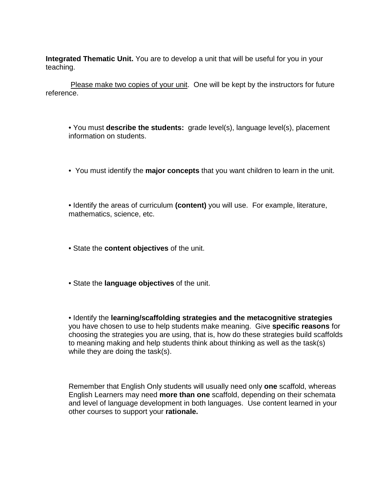**Integrated Thematic Unit.** You are to develop a unit that will be useful for you in your teaching.

Please make two copies of your unit. One will be kept by the instructors for future reference.

• You must **describe the students:** grade level(s), language level(s), placement information on students.

• You must identify the **major concepts** that you want children to learn in the unit.

• Identify the areas of curriculum **(content)** you will use. For example, literature, mathematics, science, etc.

• State the **content objectives** of the unit.

• State the **language objectives** of the unit.

• Identify the **learning/scaffolding strategies and the metacognitive strategies**  you have chosen to use to help students make meaning. Give **specific reasons** for choosing the strategies you are using, that is, how do these strategies build scaffolds to meaning making and help students think about thinking as well as the task(s) while they are doing the task(s).

Remember that English Only students will usually need only **one** scaffold, whereas English Learners may need **more than one** scaffold, depending on their schemata and level of language development in both languages. Use content learned in your other courses to support your **rationale.**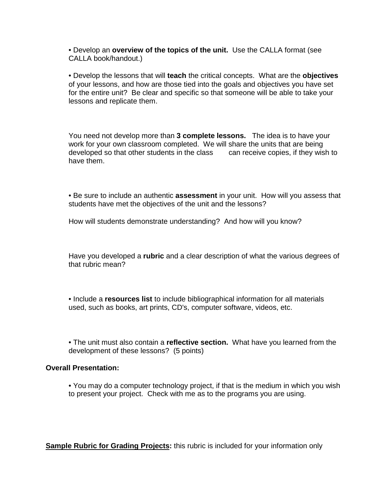• Develop an **overview of the topics of the unit.** Use the CALLA format (see CALLA book/handout.)

• Develop the lessons that will **teach** the critical concepts. What are the **objectives**  of your lessons, and how are those tied into the goals and objectives you have set for the entire unit? Be clear and specific so that someone will be able to take your lessons and replicate them.

You need not develop more than **3 complete lessons.** The idea is to have your work for your own classroom completed. We will share the units that are being developed so that other students in the class can receive copies, if they wish to have them.

• Be sure to include an authentic **assessment** in your unit. How will you assess that students have met the objectives of the unit and the lessons?

How will students demonstrate understanding? And how will you know?

Have you developed a **rubric** and a clear description of what the various degrees of that rubric mean?

• Include a **resources list** to include bibliographical information for all materials used, such as books, art prints, CD's, computer software, videos, etc.

• The unit must also contain a **reflective section.** What have you learned from the development of these lessons? (5 points)

#### **Overall Presentation:**

• You may do a computer technology project, if that is the medium in which you wish to present your project. Check with me as to the programs you are using.

**Sample Rubric for Grading Projects:** this rubric is included for your information only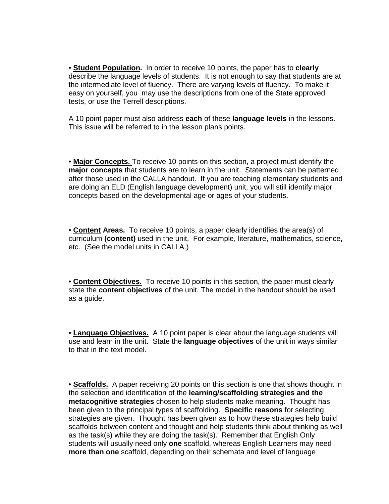• **Student Population.** In order to receive 10 points, the paper has to **clearly**  describe the language levels of students. It is not enough to say that students are at the intermediate level of fluency. There are varying levels of fluency. To make it easy on yourself, you may use the descriptions from one of the State approved tests, or use the Terrell descriptions.

A 10 point paper must also address **each** of these **language levels** in the lessons. This issue will be referred to in the lesson plans points.

• **Major Concepts.** To receive 10 points on this section, a project must identify the **major concepts** that students are to learn in the unit. Statements can be patterned after those used in the CALLA handout. If you are teaching elementary students and are doing an ELD (English language development) unit, you will still identify major concepts based on the developmental age or ages of your students.

• **Content Areas.** To receive 10 points, a paper clearly identifies the area(s) of curriculum **(content)** used in the unit. For example, literature, mathematics, science, etc. (See the model units in CALLA.)

• **Content Objectives.** To receive 10 points in this section, the paper must clearly state the **content objectives** of the unit. The model in the handout should be used as a guide.

• **Language Objectives.** A 10 point paper is clear about the language students will use and learn in the unit. State the **language objectives** of the unit in ways similar to that in the text model.

• **Scaffolds.** A paper receiving 20 points on this section is one that shows thought in the selection and identification of the **learning/scaffolding strategies and the metacognitive strategies** chosen to help students make meaning. Thought has been given to the principal types of scaffolding. **Specific reasons** for selecting strategies are given. Thought has been given as to how these strategies help build scaffolds between content and thought and help students think about thinking as well as the task(s) while they are doing the task(s). Remember that English Only students will usually need only **one** scaffold, whereas English Learners may need **more than one** scaffold, depending on their schemata and level of language